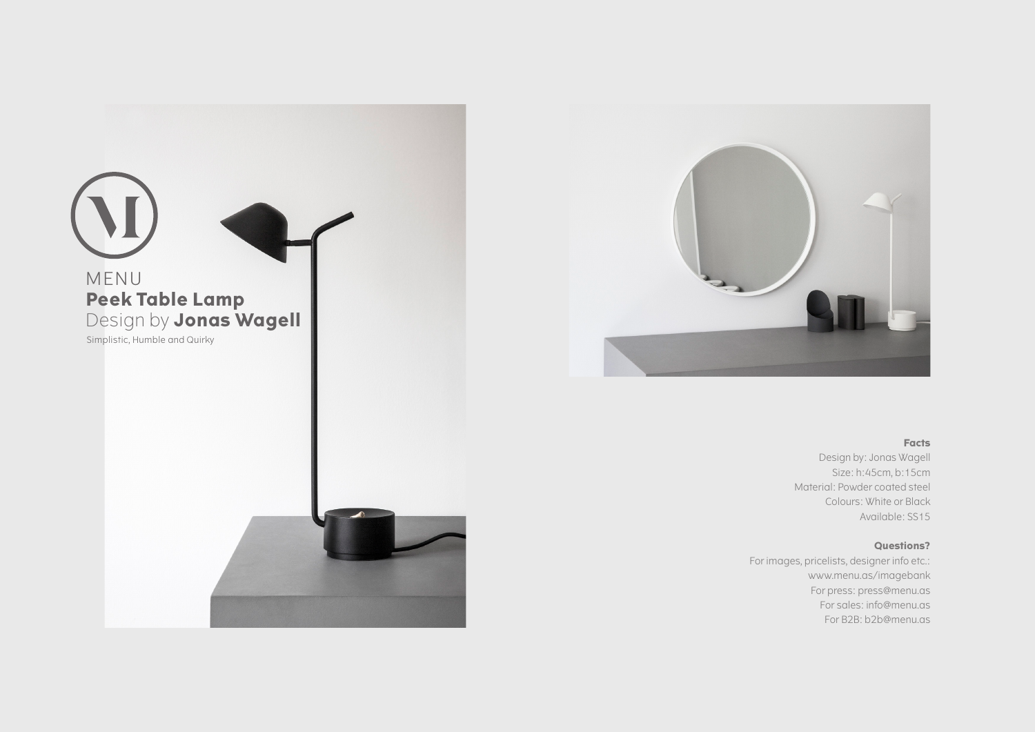



## **Facts**

Design by: Jonas Wagell Size: h:45cm, b:15cm Material: Powder coated steel Colours: White or Black Available: SS15

## **Questions?**

For images, pricelists, designer info etc.: www.menu.as/imagebank For press: press@menu.as For sales: info@menu.as For B2B: b2b@menu.as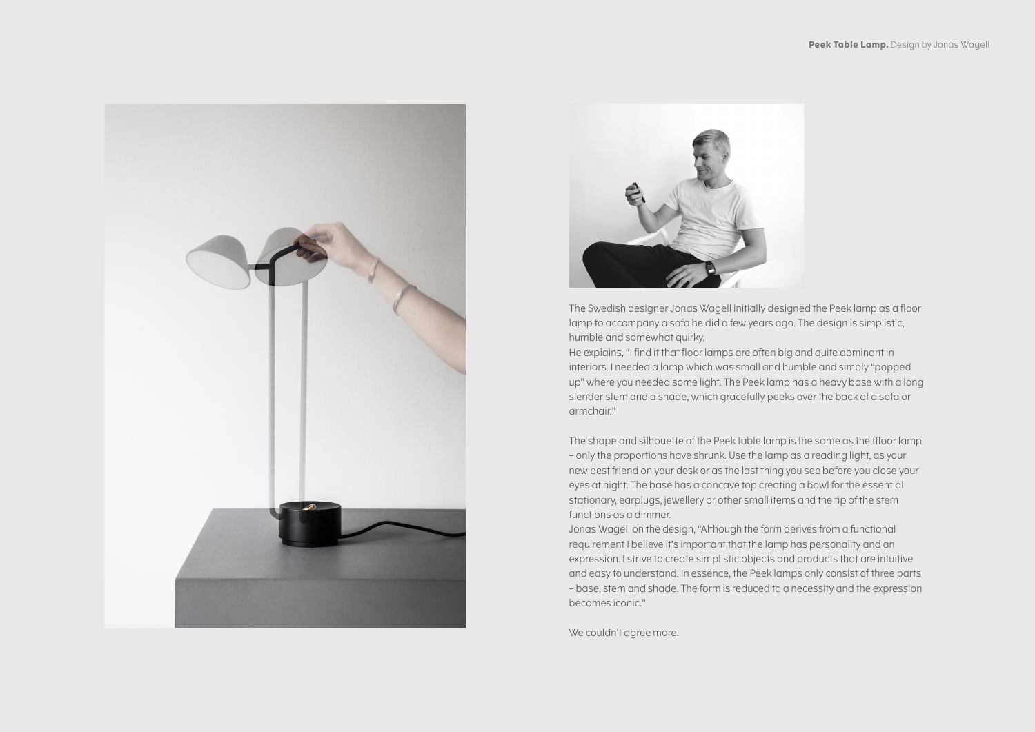



The Swedish designer Jonas Wagell initially designed the Peek lamp as a floor lamp to accompany a sofa he did a few years ago. The design is simplistic, humble and somewhat quirky.

He explains, "I find it that floor lamps are often big and quite dominant in interiors. I needed a lamp which was small and humble and simply "popped up" where you needed some light. The Peek lamp has a heavy base with a long slender stem and a shade, which gracefully peeks over the back of a sofa or armchair."

The shape and silhouette of the Peek table lamp is the same as the ffloor lamp – only the proportions have shrunk. Use the lamp as a reading light, as your new best friend on your desk or as the last thing you see before you close your eyes at night. The base has a concave top creating a bowl for the essential stationary, earplugs, jewellery or other small items and the tip of the stem functions as a dimmer.

Jonas Wagell on the design, "Although the form derives from a functional requirement I believe it's important that the lamp has personality and an expression. I strive to create simplistic objects and products that are intuitive and easy to understand. In essence, the Peek lamps only consist of three parts – base, stem and shade. The form is reduced to a necessity and the expression becomes iconic."

We couldn't agree more.